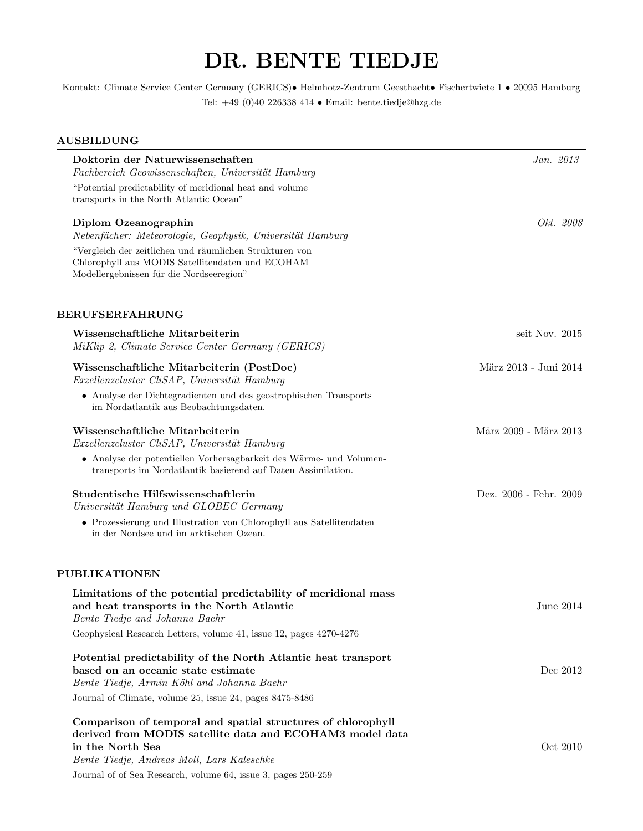## DR. BENTE TIEDJE

Kontakt: Climate Service Center Germany (GERICS)• Helmhotz-Zentrum Geesthacht• Fischertwiete 1 • 20095 Hamburg Tel: +49 (0)40 226338 414 • Email: bente.tiedje@hzg.de

## AUSBILDUNG

| Doktorin der Naturwissenschaften<br>Fachbereich Geowissenschaften, Universität Hamburg                                                                  | Jan. $2013$            |
|---------------------------------------------------------------------------------------------------------------------------------------------------------|------------------------|
| "Potential predictability of meridional heat and volume<br>transports in the North Atlantic Ocean"                                                      |                        |
| Diplom Ozeanographin<br>Nebenfächer: Meteorologie, Geophysik, Universität Hamburg                                                                       | Okt. 2008              |
| "Vergleich der zeitlichen und räumlichen Strukturen von<br>Chlorophyll aus MODIS Satellitendaten und ECOHAM<br>Modellergebnissen für die Nordseeregion" |                        |
| <b>BERUFSERFAHRUNG</b>                                                                                                                                  |                        |
| Wissenschaftliche Mitarbeiterin<br>MiKlip 2, Climate Service Center Germany (GERICS)                                                                    | seit Nov. 2015         |
| Wissenschaftliche Mitarbeiterin (PostDoc)<br>Exzellenzcluster CliSAP, Universität Hamburg                                                               | März 2013 - Juni 2014  |
| • Analyse der Dichtegradienten und des geostrophischen Transports<br>im Nordatlantik aus Beobachtungsdaten.                                             |                        |
| Wissenschaftliche Mitarbeiterin<br>Exzellenzcluster CliSAP, Universität Hamburg                                                                         | März 2009 - März 2013  |
| • Analyse der potentiellen Vorhersagbarkeit des Wärme- und Volumen-<br>transports im Nordatlantik basierend auf Daten Assimilation.                     |                        |
| Studentische Hilfswissenschaftlerin<br>Universität Hamburg und GLOBEC Germany                                                                           | Dez. 2006 - Febr. 2009 |
| • Prozessierung und Illustration von Chlorophyll aus Satellitendaten<br>in der Nordsee und im arktischen Ozean.                                         |                        |
| PUBLIKATIONEN                                                                                                                                           |                        |
| Limitations of the potential predictability of meridional mass<br>and heat transports in the North Atlantic<br>Bente Tiedje and Johanna Baehr           | June 2014              |
| Geophysical Research Letters, volume 41, issue 12, pages 4270-4276                                                                                      |                        |
| Potential predictability of the North Atlantic heat transport<br>based on an oceanic state estimate<br>Bente Tiedje, Armin Köhl and Johanna Baehr       | Dec 2012               |
| Journal of Climate, volume 25, issue 24, pages 8475-8486                                                                                                |                        |
| Comparison of temporal and spatial structures of chlorophyll<br>derived from MODIS satellite data and ECOHAM3 model data                                |                        |
| in the North Sea<br>Bente Tiedje, Andreas Moll, Lars Kaleschke                                                                                          | Oct 2010               |

Journal of of Sea Research, volume 64, issue 3, pages 250-259